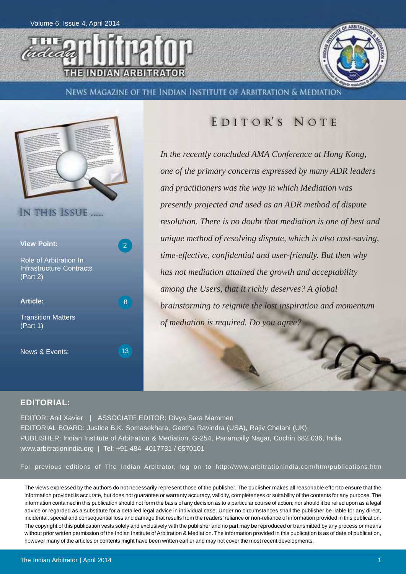



NEWS MAGAZINE OF THE INDIAN INSTITUTE OF ARBITRATION & MEDIATION



## EDITOR'S NOTE

*In the recently concluded AMA Conference at Hong Kong, one of the primary concerns expressed by many ADR leaders and practitioners was the way in which Mediation was presently projected and used as an ADR method of dispute resolution. There is no doubt that mediation is one of best and unique method of resolving dispute, which is also cost-saving, time-effective, confidential and user-friendly. But then why has not mediation attained the growth and acceptability among the Users, that it richly deserves? A global brainstorming to reignite the lost inspiration and momentum of mediation is required. Do you agree?*

#### **EDITORIAL:**

EDITOR: Anil Xavier | ASSOCIATE EDITOR: Divya Sara Mammen EDITORIAL BOARD: Justice B.K. Somasekhara, Geetha Ravindra (USA), Rajiv Chelani (UK) PUBLISHER: Indian Institute of Arbitration & Mediation, G-254, Panampilly Nagar, Cochin 682 036, India www.arbitrationindia.org | Tel: +91 484 4017731 / 6570101

For previous editions of The Indian Arbitrator, log on to http://www.arbitrationindia.com/htm/publications.htm

The views expressed by the authors do not necessarily represent those of the publisher. The publisher makes all reasonable effort to ensure that the information provided is accurate, but does not guarantee or warranty accuracy, validity, completeness or suitability of the contents for any purpose. The information contained in this publication should not form the basis of any decision as to a particular course of action; nor should it be relied upon as a legal advice or regarded as a substitute for a detailed legal advice in individual case. Under no circumstances shall the publisher be liable for any direct, incidental, special and consequential loss and damage that results from the readers' reliance or non-reliance of information provided in this publication. The copyright of this publication vests solely and exclusively with the publisher and no part may be reproduced or transmitted by any process or means without prior written permission of the Indian Institute of Arbitration & Mediation. The information provided in this publication is as of date of publication, however many of the articles or contents might have been written earlier and may not cover the most recent developments.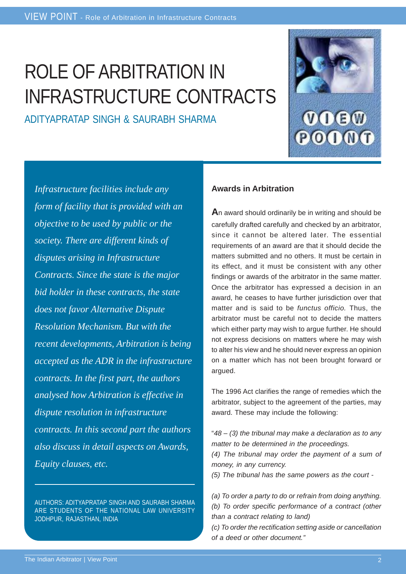# ROLE OF ARBITRATION IN INFRASTRUCTURE CONTRACTS

ADITYAPRATAP SINGH & SAURABH SHARMA



*Infrastructure facilities include any form of facility that is provided with an objective to be used by public or the society. There are different kinds of disputes arising in Infrastructure Contracts. Since the state is the major bid holder in these contracts, the state does not favor Alternative Dispute Resolution Mechanism. But with the recent developments, Arbitration is being accepted as the ADR in the infrastructure contracts. In the first part, the authors analysed how Arbitration is effective in dispute resolution in infrastructure contracts. In this second part the authors also discuss in detail aspects on Awards, Equity clauses, etc.*

AUTHORS: ADITYAPRATAP SINGH AND SAURABH SHARMA ARE STUDENTS OF THE NATIONAL LAW UNIVERSITY JODHPUR, RAJASTHAN, INDIA

#### **Awards in Arbitration**

**A**n award should ordinarily be in writing and should be carefully drafted carefully and checked by an arbitrator, since it cannot be altered later. The essential requirements of an award are that it should decide the matters submitted and no others. It must be certain in its effect, and it must be consistent with any other findings or awards of the arbitrator in the same matter. Once the arbitrator has expressed a decision in an award, he ceases to have further jurisdiction over that matter and is said to be *functus officio.* Thus, the arbitrator must be careful not to decide the matters which either party may wish to argue further. He should not express decisions on matters where he may wish to alter his view and he should never express an opinion on a matter which has not been brought forward or argued.

The 1996 Act clarifies the range of remedies which the arbitrator, subject to the agreement of the parties, may award. These may include the following:

"*48 – (3) the tribunal may make a declaration as to any matter to be determined in the proceedings. (4) The tribunal may order the payment of a sum of*

*money, in any currency.*

*(5) The tribunal has the same powers as the court -*

*(a) To order a party to do or refrain from doing anything. (b) To order specific performance of a contract (other than a contract relating to land)*

*(c) To order the rectification setting aside or cancellation of a deed or other document."*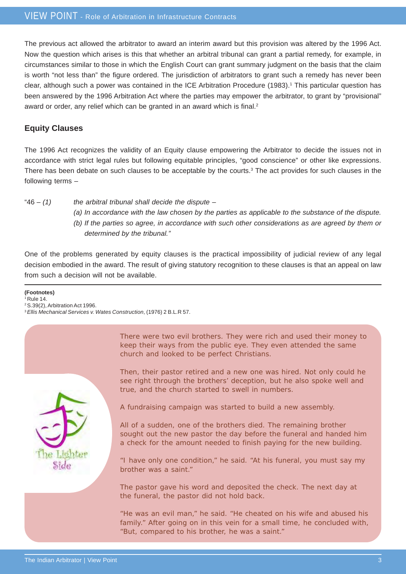The previous act allowed the arbitrator to award an interim award but this provision was altered by the 1996 Act. Now the question which arises is this that whether an arbitral tribunal can grant a partial remedy, for example, in circumstances similar to those in which the English Court can grant summary judgment on the basis that the claim is worth "not less than" the figure ordered. The jurisdiction of arbitrators to grant such a remedy has never been clear, although such a power was contained in the ICE Arbitration Procedure (1983).<sup>1</sup> This particular question has been answered by the 1996 Arbitration Act where the parties may empower the arbitrator, to grant by "provisional" award or order, any relief which can be granted in an award which is final.<sup>2</sup>

#### **Equity Clauses**

The 1996 Act recognizes the validity of an Equity clause empowering the Arbitrator to decide the issues not in accordance with strict legal rules but following equitable principles, "good conscience" or other like expressions. There has been debate on such clauses to be acceptable by the courts.<sup>3</sup> The act provides for such clauses in the following terms –

- "46 *(1) the arbitral tribunal shall decide the dispute –*
	- *(a) In accordance with the law chosen by the parties as applicable to the substance of the dispute.*
	- *(b) If the parties so agree, in accordance with such other considerations as are agreed by them or determined by the tribunal."*

One of the problems generated by equity clauses is the practical impossibility of judicial review of any legal decision embodied in the award. The result of giving statutory recognition to these clauses is that an appeal on law from such a decision will not be available.

#### **(Footnotes)**

 $1$  Rule 14.

2 S.39(2), Arbitration Act 1996.

<sup>3</sup>*Ellis Mechanical Services v. Wates Construction*, (1976) 2 B.L.R 57.



There were two evil brothers. They were rich and used their money to keep their ways from the public eye. They even attended the same church and looked to be perfect Christians.

Then, their pastor retired and a new one was hired. Not only could he see right through the brothers' deception, but he also spoke well and true, and the church started to swell in numbers.

A fundraising campaign was started to build a new assembly.

All of a sudden, one of the brothers died. The remaining brother sought out the new pastor the day before the funeral and handed him a check for the amount needed to finish paying for the new building.

"I have only one condition," he said. "At his funeral, you must say my brother was a saint."

The pastor gave his word and deposited the check. The next day at the funeral, the pastor did not hold back.

"He was an evil man," he said. "He cheated on his wife and abused his family." After going on in this vein for a small time, he concluded with, "But, compared to his brother, he was a saint."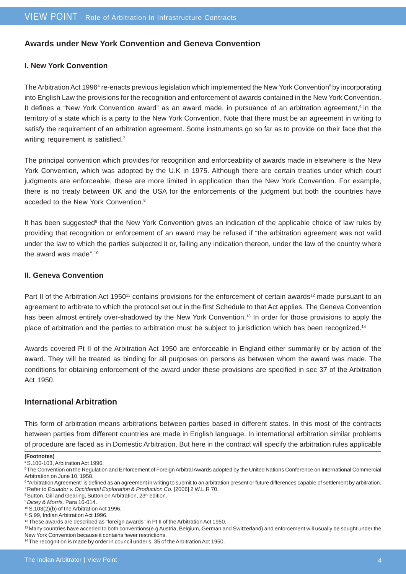#### **Awards under New York Convention and Geneva Convention**

#### **I. New York Convention**

The Arbitration Act 1996<sup>4</sup> re-enacts previous legislation which implemented the New York Convention<sup>5</sup> by incorporating into English Law the provisions for the recognition and enforcement of awards contained in the New York Convention. It defines a "New York Convention award" as an award made, in pursuance of an arbitration agreement,<sup>6</sup> in the territory of a state which is a party to the New York Convention. Note that there must be an agreement in writing to satisfy the requirement of an arbitration agreement. Some instruments go so far as to provide on their face that the writing requirement is satisfied.<sup>7</sup>

The principal convention which provides for recognition and enforceability of awards made in elsewhere is the New York Convention, which was adopted by the U.K in 1975. Although there are certain treaties under which court judgments are enforceable, these are more limited in application than the New York Convention. For example, there is no treaty between UK and the USA for the enforcements of the judgment but both the countries have acceded to the New York Convention.<sup>8</sup>

It has been suggested<sup>9</sup> that the New York Convention gives an indication of the applicable choice of law rules by providing that recognition or enforcement of an award may be refused if "the arbitration agreement was not valid under the law to which the parties subjected it or, failing any indication thereon, under the law of the country where the award was made".10

#### **II. Geneva Convention**

Part II of the Arbitration Act 1950<sup>11</sup> contains provisions for the enforcement of certain awards<sup>12</sup> made pursuant to an agreement to arbitrate to which the protocol set out in the first Schedule to that Act applies. The Geneva Convention has been almost entirely over-shadowed by the New York Convention.<sup>13</sup> In order for those provisions to apply the place of arbitration and the parties to arbitration must be subject to jurisdiction which has been recognized.14

Awards covered Pt II of the Arbitration Act 1950 are enforceable in England either summarily or by action of the award. They will be treated as binding for all purposes on persons as between whom the award was made. The conditions for obtaining enforcement of the award under these provisions are specified in sec 37 of the Arbitration Act 1950.

#### **International Arbitration**

This form of arbitration means arbitrations between parties based in different states. In this most of the contracts between parties from different countries are made in English language. In international arbitration similar problems of procedure are faced as in Domestic Arbitration. But here in the contract will specify the arbitration rules applicable

**<sup>(</sup>Footnotes)**

<sup>4</sup> S.100-103, Arbitration Act 1996.

<sup>5</sup> The Convention on the Regulation and Enforcement of Foreign Arbitral Awards adopted by the United Nations Conference on International Commercial Arbitration on June 10, 1958.

<sup>&</sup>lt;sup>6</sup> "Arbitration Agreement" is defined as an agreement in writing to submit to an arbitration present or future differences capable of settlement by arbitration. 7 Refer to *Ecuador v. Occidental Exploration & Production Co.* [2006] 2 W.L.R 70.

<sup>8</sup> Sutton, Gill and Gearing, Sutton on Arbitration, 23rd edition.

<sup>9</sup>*Dicey & Morris,* Para 16-014.

<sup>10</sup> S.103(2)(b) of the Arbitration Act 1996.

<sup>11</sup> S.99, Indian Arbitration Act 1996.

<sup>&</sup>lt;sup>12</sup> These awards are described as "foreign awards" in Pt II of the Arbitration Act 1950.

<sup>13</sup> Many countries have acceded to both conventions(e.g Austria, Belgium, German and Switzerland) and enforcement will usually be sought under the New York Convention because it contains fewer restrictions.

<sup>&</sup>lt;sup>14</sup> The recognition is made by order in council under s. 35 of the Arbitration Act 1950.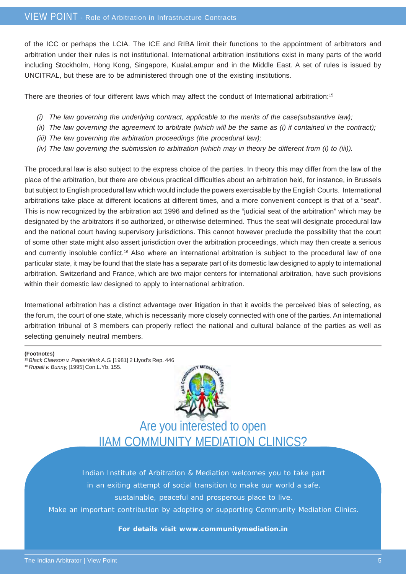of the ICC or perhaps the LCIA. The ICE and RIBA limit their functions to the appointment of arbitrators and arbitration under their rules is not institutional. International arbitration institutions exist in many parts of the world including Stockholm, Hong Kong, Singapore, KualaLampur and in the Middle East. A set of rules is issued by UNCITRAL, but these are to be administered through one of the existing institutions.

There are theories of four different laws which may affect the conduct of International arbitration:<sup>15</sup>

- *(i) The law governing the underlying contract, applicable to the merits of the case(substantive law);*
- *(ii) The law governing the agreement to arbitrate (which will be the same as (i) if contained in the contract);*
- *(iii) The law governing the arbitration proceedings (the procedural law);*
- *(iv) The law governing the submission to arbitration (which may in theory be different from (i) to (iii)).*

The procedural law is also subject to the express choice of the parties. In theory this may differ from the law of the place of the arbitration, but there are obvious practical difficulties about an arbitration held, for instance, in Brussels but subject to English procedural law which would include the powers exercisable by the English Courts. International arbitrations take place at different locations at different times, and a more convenient concept is that of a "seat". This is now recognized by the arbitration act 1996 and defined as the "judicial seat of the arbitration" which may be designated by the arbitrators if so authorized, or otherwise determined. Thus the seat will designate procedural law and the national court having supervisory jurisdictions. This cannot however preclude the possibility that the court of some other state might also assert jurisdiction over the arbitration proceedings, which may then create a serious and currently insoluble conflict.16 Also where an international arbitration is subject to the procedural law of one particular state, it may be found that the state has a separate part of its domestic law designed to apply to international arbitration. Switzerland and France, which are two major centers for international arbitration, have such provisions within their domestic law designed to apply to international arbitration.

International arbitration has a distinct advantage over litigation in that it avoids the perceived bias of selecting, as the forum, the court of one state, which is necessarily more closely connected with one of the parties. An international arbitration tribunal of 3 members can properly reflect the national and cultural balance of the parties as well as selecting genuinely neutral members.

#### **(Footnotes)**

- <sup>15</sup>*Black Clawson v. PapierWerk A.G.* [1981] 2 Llyod's Rep. 446
- <sup>16</sup>*Rupali v. Bunny,* [1995] Con.L.Yb. 155.



Are you interested to open IIAM COMMUNITY MEDIATION CLINICS?

Indian Institute of Arbitration & Mediation welcomes you to take part in an exiting attempt of social transition to make our world a safe, sustainable, peaceful and prosperous place to live. Make an important contribution by adopting or supporting Community Mediation Clinics.

#### **For details visit www.communitymediation.in**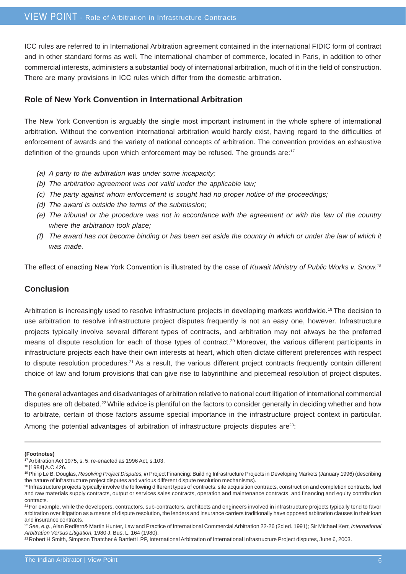ICC rules are referred to in International Arbitration agreement contained in the international FIDIC form of contract and in other standard forms as well. The international chamber of commerce, located in Paris, in addition to other commercial interests, administers a substantial body of international arbitration, much of it in the field of construction. There are many provisions in ICC rules which differ from the domestic arbitration.

#### **Role of New York Convention in International Arbitration**

The New York Convention is arguably the single most important instrument in the whole sphere of international arbitration. Without the convention international arbitration would hardly exist, having regard to the difficulties of enforcement of awards and the variety of national concepts of arbitration. The convention provides an exhaustive definition of the grounds upon which enforcement may be refused. The grounds are:17

- *(a) A party to the arbitration was under some incapacity;*
- *(b) The arbitration agreement was not valid under the applicable law;*
- *(c) The party against whom enforcement is sought had no proper notice of the proceedings;*
- *(d) The award is outside the terms of the submission;*
- *(e) The tribunal or the procedure was not in accordance with the agreement or with the law of the country where the arbitration took place;*
- *(f) The award has not become binding or has been set aside the country in which or under the law of which it was made.*

The effect of enacting New York Convention is illustrated by the case of *Kuwait Ministry of Public Works v. Snow.18*

#### **Conclusion**

Arbitration is increasingly used to resolve infrastructure projects in developing markets worldwide.19 The decision to use arbitration to resolve infrastructure project disputes frequently is not an easy one, however. Infrastructure projects typically involve several different types of contracts, and arbitration may not always be the preferred means of dispute resolution for each of those types of contract.20 Moreover, the various different participants in infrastructure projects each have their own interests at heart, which often dictate different preferences with respect to dispute resolution procedures.<sup>21</sup> As a result, the various different project contracts frequently contain different choice of law and forum provisions that can give rise to labyrinthine and piecemeal resolution of project disputes.

The general advantages and disadvantages of arbitration relative to national court litigation of international commercial disputes are oft debated.22 While advice is plentiful on the factors to consider generally in deciding whether and how to arbitrate, certain of those factors assume special importance in the infrastructure project context in particular. Among the potential advantages of arbitration of infrastructure projects disputes are<sup>23</sup>:

**(Footnotes)**

18 [1984] A.C.426.

<sup>23</sup> Robert H Smith, Simpson Thatcher & Bartlett LPP, International Arbitration of International Infrastructure Project disputes, June 6, 2003.

 $17$  Arbitration Act 1975, s. 5, re-enacted as 1996 Act, s.103.

<sup>19</sup> Philip Le B. Douglas, *Resolving Project Disputes, in* Project Financing: Building Infrastructure Projects in Developing Markets (January 1996) (describing the nature of infrastructure project disputes and various different dispute resolution mechanisms).

<sup>&</sup>lt;sup>20</sup> Infrastructure projects typically involve the following different types of contracts: site acquisition contracts, construction and completion contracts, fuel and raw materials supply contracts, output or services sales contracts, operation and maintenance contracts, and financing and equity contribution contracts.

<sup>&</sup>lt;sup>21</sup> For example, while the developers, contractors, sub-contractors, architects and engineers involved in infrastructure projects typically tend to favor arbitration over litigation as a means of dispute resolution, the lenders and insurance carriers traditionally have opposed arbitration clauses in their loan and insurance contracts.

<sup>22</sup>*See, e.g.*, Alan Redfern& Martin Hunter, Law and Practice of International Commercial Arbitration 22-26 (2d ed. 1991); Sir Michael Kerr, *International Arbitration Versus Litigation,* 1980 J. Bus. L. 164 (1980).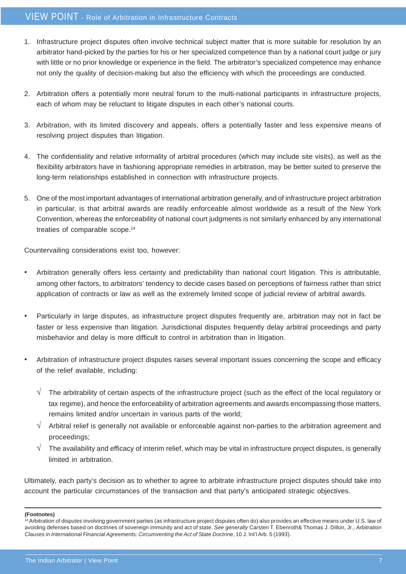### VIEW POINT - Role of Arbitration in Infrastructure Contracts

- 1. Infrastructure project disputes often involve technical subject matter that is more suitable for resolution by an arbitrator hand-picked by the parties for his or her specialized competence than by a national court judge or jury with little or no prior knowledge or experience in the field. The arbitrator's specialized competence may enhance not only the quality of decision-making but also the efficiency with which the proceedings are conducted.
- 2. Arbitration offers a potentially more neutral forum to the multi-national participants in infrastructure projects, each of whom may be reluctant to litigate disputes in each other's national courts.
- 3. Arbitration, with its limited discovery and appeals, offers a potentially faster and less expensive means of resolving project disputes than litigation.
- 4. The confidentiality and relative informality of arbitral procedures (which may include site visits), as well as the flexibility arbitrators have in fashioning appropriate remedies in arbitration, may be better suited to preserve the long-term relationships established in connection with infrastructure projects.
- 5. One of the most important advantages of international arbitration generally, and of infrastructure project arbitration in particular, is that arbitral awards are readily enforceable almost worldwide as a result of the New York Convention, whereas the enforceability of national court judgments is not similarly enhanced by any international treaties of comparable scope.<sup>24</sup>

Countervailing considerations exist too, however:

- Arbitration generally offers less certainty and predictability than national court litigation. This is attributable, among other factors, to arbitrators' tendency to decide cases based on perceptions of fairness rather than strict application of contracts or law as well as the extremely limited scope of judicial review of arbitral awards.
- Particularly in large disputes, as infrastructure project disputes frequently are, arbitration may not in fact be faster or less expensive than litigation. Jurisdictional disputes frequently delay arbitral proceedings and party misbehavior and delay is more difficult to control in arbitration than in litigation.
- Arbitration of infrastructure project disputes raises several important issues concerning the scope and efficacy of the relief available, including:
	- $\sqrt{\phantom{a}}$  The arbitrability of certain aspects of the infrastructure project (such as the effect of the local regulatory or tax regime), and hence the enforceability of arbitration agreements and awards encompassing those matters, remains limited and/or uncertain in various parts of the world;
	- √ Arbitral relief is generally not available or enforceable against non-parties to the arbitration agreement and proceedings;
	- The availability and efficacy of interim relief, which may be vital in infrastructure project disputes, is generally limited in arbitration.

Ultimately, each party's decision as to whether to agree to arbitrate infrastructure project disputes should take into account the particular circumstances of the transaction and that party's anticipated strategic objectives.

#### **(Footnotes)**

<sup>&</sup>lt;sup>24</sup> Arbitration of disputes involving government parties (as infrastructure project disputes often do) also provides an effective means under U.S. law of avoiding defenses based on doctrines of sovereign immunity and act of state. *See generally* Carsten T. Ebenroth& Thomas J. Dillon, Jr., *Arbitration Clauses in International Financial Agreements: Circumventing the Act of State Doctrine*, 10 J. Int'l Arb. 5 (1993).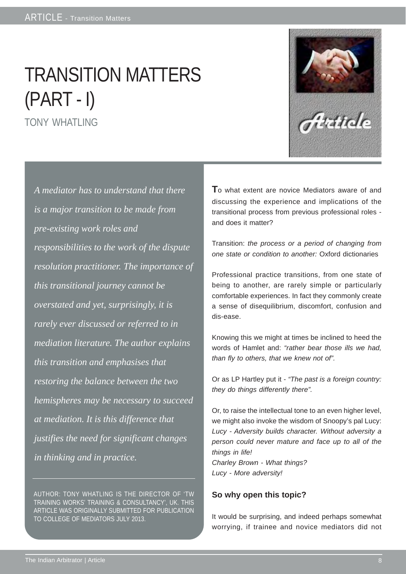# TRANSITION MATTERS (PART - I)

TONY WHATLING

*A mediator has to understand that there is a major transition to be made from pre-existing work roles and responsibilities to the work of the dispute resolution practitioner. The importance of this transitional journey cannot be overstated and yet, surprisingly, it is rarely ever discussed or referred to in mediation literature. The author explains this transition and emphasises that restoring the balance between the two hemispheres may be necessary to succeed at mediation. It is this difference that justifies the need for significant changes in thinking and in practice.*

AUTHOR: TONY WHATLING IS THE DIRECTOR OF 'TW TRAINING WORKS' TRAINING & CONSULTANCY', UK. THIS ARTICLE WAS ORIGINALLY SUBMITTED FOR PUBLICATION TO COLLEGE OF MEDIATORS JULY 2013.



**T**o what extent are novice Mediators aware of and discussing the experience and implications of the transitional process from previous professional roles and does it matter?

Transition: *the process or a period of changing from one state or condition to another:* Oxford dictionaries

Professional practice transitions, from one state of being to another, are rarely simple or particularly comfortable experiences. In fact they commonly create a sense of disequilibrium, discomfort, confusion and dis-ease.

Knowing this we might at times be inclined to heed the words of Hamlet and: *"rather bear those ills we had, than fly to others, that we knew not of".*

Or as LP Hartley put it - *"The past is a foreign country: they do things differently there".*

Or, to raise the intellectual tone to an even higher level, we might also invoke the wisdom of Snoopy's pal Lucy: *Lucy - Adversity builds character. Without adversity a person could never mature and face up to all of the things in life! Charley Brown - What things? Lucy - More adversity!*

#### **So why open this topic?**

It would be surprising, and indeed perhaps somewhat worrying, if trainee and novice mediators did not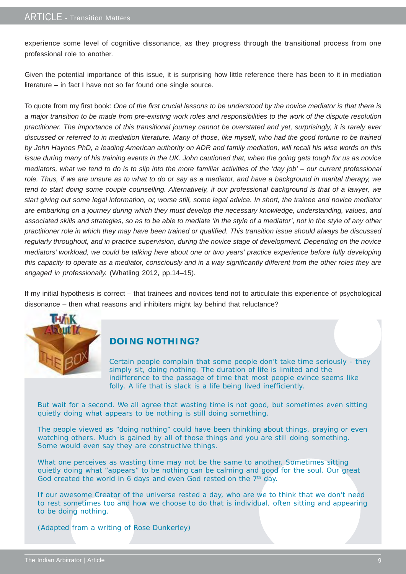experience some level of cognitive dissonance, as they progress through the transitional process from one professional role to another.

Given the potential importance of this issue, it is surprising how little reference there has been to it in mediation literature – in fact I have not so far found one single source.

To quote from my first book: *One of the first crucial lessons to be understood by the novice mediator is that there is a major transition to be made from pre-existing work roles and responsibilities to the work of the dispute resolution practitioner. The importance of this transitional journey cannot be overstated and yet, surprisingly, it is rarely ever discussed or referred to in mediation literature. Many of those, like myself, who had the good fortune to be trained by John Haynes PhD, a leading American authority on ADR and family mediation, will recall his wise words on this issue during many of his training events in the UK. John cautioned that, when the going gets tough for us as novice mediators, what we tend to do is to slip into the more familiar activities of the 'day job' – our current professional role. Thus, if we are unsure as to what to do or say as a mediator, and have a background in marital therapy, we tend to start doing some couple counselling. Alternatively, if our professional background is that of a lawyer, we start giving out some legal information, or, worse still, some legal advice. In short, the trainee and novice mediator are embarking on a journey during which they must develop the necessary knowledge, understanding, values, and associated skills and strategies, so as to be able to mediate 'in the style of a mediator', not in the style of any other practitioner role in which they may have been trained or qualified. This transition issue should always be discussed regularly throughout, and in practice supervision, during the novice stage of development. Depending on the novice mediators' workload, we could be talking here about one or two years' practice experience before fully developing this capacity to operate as a mediator, consciously and in a way significantly different from the other roles they are engaged in professionally.* (Whatling 2012, pp.14–15).

If my initial hypothesis is correct – that trainees and novices tend not to articulate this experience of psychological dissonance – then what reasons and inhibiters might lay behind that reluctance?



### **DOING NOTHING?**

Certain people complain that some people don't take time seriously - they simply sit, doing nothing. The duration of life is limited and the indifference to the passage of time that most people evince seems like folly. A life that is slack is a life being lived inefficiently.

But wait for a second. We all agree that wasting time is not good, but sometimes even sitting quietly doing what appears to be nothing is still doing something.

The people viewed as "doing nothing" could have been thinking about things, praying or even watching others. Much is gained by all of those things and you are still doing something. Some would even say they are constructive things.

What one perceives as wasting time may not be the same to another. Sometimes sitting quietly doing what "appears" to be nothing can be calming and good for the soul. Our great God created the world in 6 days and even God rested on the 7<sup>th</sup> day.

If our awesome Creator of the universe rested a day, who are we to think that we don't need to rest sometimes too and how we choose to do that is individual, often sitting and appearing to be doing nothing.

(Adapted from a writing of Rose Dunkerley)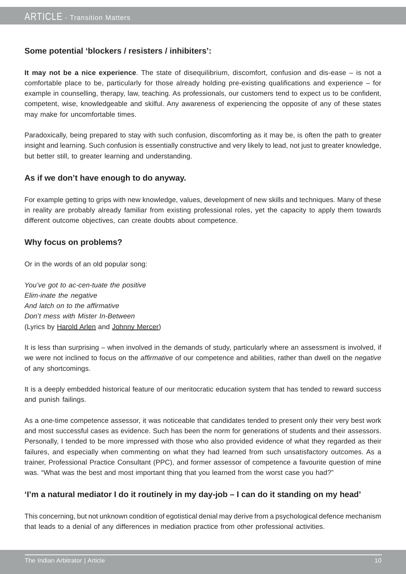#### **Some potential 'blockers / resisters / inhibiters':**

**It may not be a nice experience**. The state of disequilibrium, discomfort, confusion and dis-ease – is not a comfortable place to be, particularly for those already holding pre-existing qualifications and experience – for example in counselling, therapy, law, teaching. As professionals, our customers tend to expect us to be confident, competent, wise, knowledgeable and skilful. Any awareness of experiencing the opposite of any of these states may make for uncomfortable times.

Paradoxically, being prepared to stay with such confusion, discomforting as it may be, is often the path to greater insight and learning. Such confusion is essentially constructive and very likely to lead, not just to greater knowledge, but better still, to greater learning and understanding.

#### **As if we don't have enough to do anyway.**

For example getting to grips with new knowledge, values, development of new skills and techniques. Many of these in reality are probably already familiar from existing professional roles, yet the capacity to apply them towards different outcome objectives, can create doubts about competence.

#### **Why focus on problems?**

Or in the words of an old popular song:

*You've got to ac-cen-tuate the positive Elim-inate the negative And latch on to the affirmative Don't mess with Mister In-Between* (Lyrics by Harold Arlen and Johnny Mercer)

It is less than surprising – when involved in the demands of study, particularly where an assessment is involved, if we were not inclined to focus on the *affirmative* of our competence and abilities, rather than dwell on the *negative* of any shortcomings.

It is a deeply embedded historical feature of our meritocratic education system that has tended to reward success and punish failings.

As a one-time competence assessor, it was noticeable that candidates tended to present only their very best work and most successful cases as evidence. Such has been the norm for generations of students and their assessors. Personally, I tended to be more impressed with those who also provided evidence of what they regarded as their failures, and especially when commenting on what they had learned from such unsatisfactory outcomes. As a trainer, Professional Practice Consultant (PPC), and former assessor of competence a favourite question of mine was. "What was the best and most important thing that you learned from the worst case you had?"

#### **'I'm a natural mediator I do it routinely in my day-job – I can do it standing on my head'**

This concerning, but not unknown condition of egotistical denial may derive from a psychological defence mechanism that leads to a denial of any differences in mediation practice from other professional activities.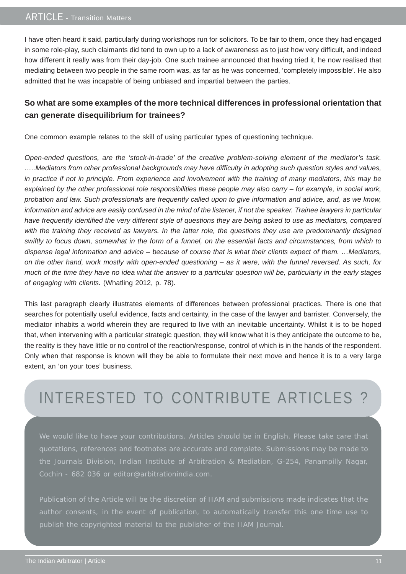### ARTICLE - Transition Matters

I have often heard it said, particularly during workshops run for solicitors. To be fair to them, once they had engaged in some role-play, such claimants did tend to own up to a lack of awareness as to just how very difficult, and indeed how different it really was from their day-job. One such trainee announced that having tried it, he now realised that mediating between two people in the same room was, as far as he was concerned, 'completely impossible'. He also admitted that he was incapable of being unbiased and impartial between the parties.

### **So what are some examples of the more technical differences in professional orientation that can generate disequilibrium for trainees?**

One common example relates to the skill of using particular types of questioning technique.

*Open-ended questions, are the 'stock-in-trade' of the creative problem-solving element of the mediator's task. …..Mediators from other professional backgrounds may have difficulty in adopting such question styles and values, in practice if not in principle. From experience and involvement with the training of many mediators, this may be explained by the other professional role responsibilities these people may also carry – for example, in social work, probation and law. Such professionals are frequently called upon to give information and advice, and, as we know, information and advice are easily confused in the mind of the listener, if not the speaker. Trainee lawyers in particular have frequently identified the very different style of questions they are being asked to use as mediators, compared with the training they received as lawyers. In the latter role, the questions they use are predominantly designed swiftly to focus down, somewhat in the form of a funnel, on the essential facts and circumstances, from which to dispense legal information and advice – because of course that is what their clients expect of them. …Mediators, on the other hand, work mostly with open-ended questioning – as it were, with the funnel reversed. As such, for much of the time they have no idea what the answer to a particular question will be, particularly in the early stages of engaging with clients.* (Whatling 2012, p. 78).

This last paragraph clearly illustrates elements of differences between professional practices. There is one that searches for potentially useful evidence, facts and certainty, in the case of the lawyer and barrister. Conversely, the mediator inhabits a world wherein they are required to live with an inevitable uncertainty. Whilst it is to be hoped that, when intervening with a particular strategic question, they will know what it is they anticipate the outcome to be, the reality is they have little or no control of the reaction/response, control of which is in the hands of the respondent. Only when that response is known will they be able to formulate their next move and hence it is to a very large extent, an 'on your toes' business.

## INTERESTED TO CONTRIBUTE ARTICLES ?

We would like to have your contributions. Articles should be in English. Please take care that quotations, references and footnotes are accurate and complete. Submissions may be made to the Journals Division, Indian Institute of Arbitration & Mediation, G-254, Panampilly Nagar, Cochin - 682 036 or editor@arbitrationindia.com.

Publication of the Article will be the discretion of IIAM and submissions made indicates that the publish the copyrighted material to the publisher of the IIAM Journal.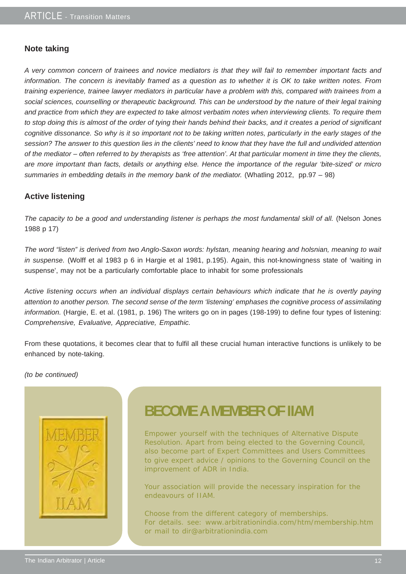#### **Note taking**

*A very common concern of trainees and novice mediators is that they will fail to remember important facts and information. The concern is inevitably framed as a question as to whether it is OK to take written notes. From training experience, trainee lawyer mediators in particular have a problem with this, compared with trainees from a social sciences, counselling or therapeutic background. This can be understood by the nature of their legal training and practice from which they are expected to take almost verbatim notes when interviewing clients. To require them to stop doing this is almost of the order of tying their hands behind their backs, and it creates a period of significant cognitive dissonance. So why is it so important not to be taking written notes, particularly in the early stages of the session? The answer to this question lies in the clients' need to know that they have the full and undivided attention of the mediator – often referred to by therapists as 'free attention'. At that particular moment in time they the clients, are more important than facts, details or anything else. Hence the importance of the regular 'bite-sized' or micro summaries in embedding details in the memory bank of the mediator.* (Whatling 2012, pp.97 – 98)

#### **Active listening**

*The capacity to be a good and understanding listener is perhaps the most fundamental skill of all.* (Nelson Jones 1988 p 17)

*The word "listen" is derived from two Anglo-Saxon words: hylstan, meaning hearing and holsnian, meaning to wait in suspense.* (Wolff et al 1983 p 6 in Hargie et al 1981, p.195). Again, this not-knowingness state of 'waiting in suspense', may not be a particularly comfortable place to inhabit for some professionals

*Active listening occurs when an individual displays certain behaviours which indicate that he is overtly paying attention to another person. The second sense of the term 'listening' emphases the cognitive process of assimilating information.* (Hargie, E. et al. (1981, p. 196) The writers go on in pages (198-199) to define four types of listening: *Comprehensive, Evaluative, Appreciative, Empathic.*

From these quotations, it becomes clear that to fulfil all these crucial human interactive functions is unlikely to be enhanced by note-taking.

*(to be continued)*



## **BECOME A MEMBER OF IIAM**

Empower yourself with the techniques of Alternative Dispute Resolution. Apart from being elected to the Governing Council, also become part of Expert Committees and Users Committees to give expert advice / opinions to the Governing Council on the improvement of ADR in India.

Your association will provide the necessary inspiration for the endeavours of IIAM.

Choose from the different category of memberships. For details. see: www.arbitrationindia.com/htm/membership.htm or mail to dir@arbitrationindia.com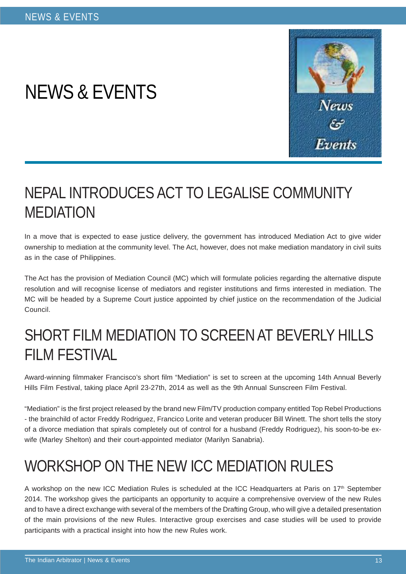# NEWS & EVENTS



## NEPAL INTRODUCES ACT TO LEGALISE COMMUNITY MEDIATION

In a move that is expected to ease justice delivery, the government has introduced Mediation Act to give wider ownership to mediation at the community level. The Act, however, does not make mediation mandatory in civil suits as in the case of Philippines.

The Act has the provision of Mediation Council (MC) which will formulate policies regarding the alternative dispute resolution and will recognise license of mediators and register institutions and firms interested in mediation. The MC will be headed by a Supreme Court justice appointed by chief justice on the recommendation of the Judicial Council.

## SHORT FILM MEDIATION TO SCREEN AT BEVERLY HILLS FILM FESTIVAL

Award-winning filmmaker Francisco's short film "Mediation" is set to screen at the upcoming 14th Annual Beverly Hills Film Festival, taking place April 23-27th, 2014 as well as the 9th Annual Sunscreen Film Festival.

"Mediation" is the first project released by the brand new Film/TV production company entitled Top Rebel Productions - the brainchild of actor Freddy Rodriguez, Francico Lorite and veteran producer Bill Winett. The short tells the story of a divorce mediation that spirals completely out of control for a husband (Freddy Rodriguez), his soon-to-be exwife (Marley Shelton) and their court-appointed mediator (Marilyn Sanabria).

# WORKSHOP ON THE NEW ICC MEDIATION RULES

A workshop on the new ICC Mediation Rules is scheduled at the ICC Headquarters at Paris on 17th September 2014. The workshop gives the participants an opportunity to acquire a comprehensive overview of the new Rules and to have a direct exchange with several of the members of the Drafting Group, who will give a detailed presentation of the main provisions of the new Rules. Interactive group exercises and case studies will be used to provide participants with a practical insight into how the new Rules work.